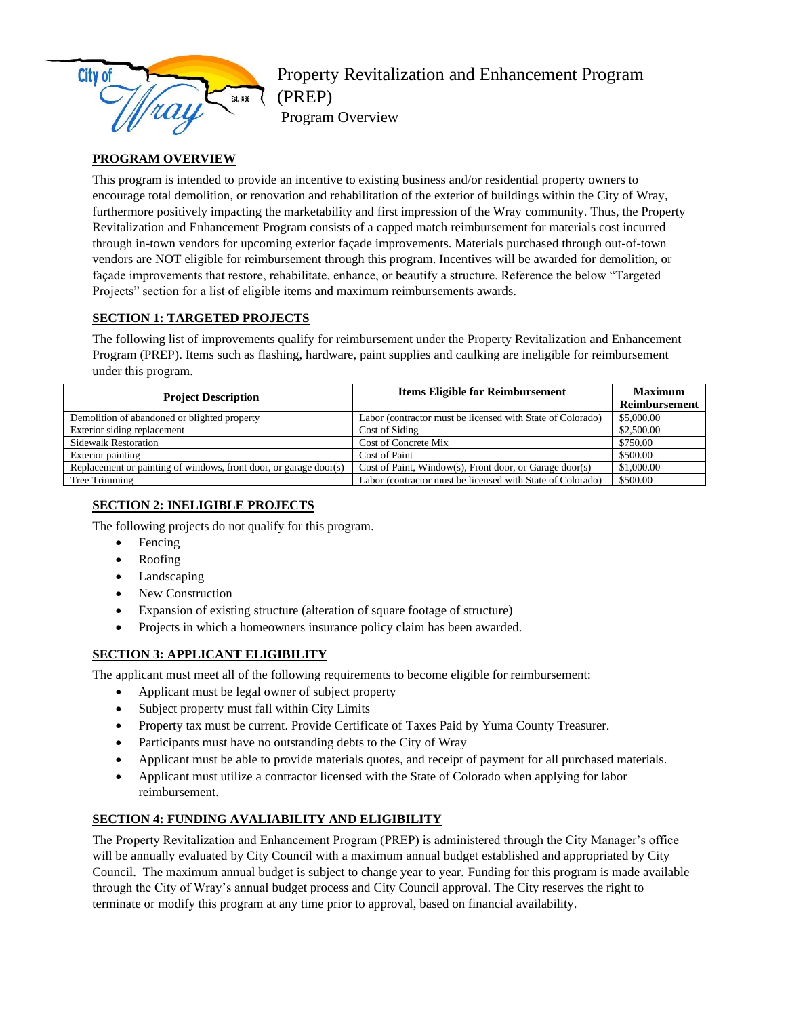

# Property Revitalization and Enhancement Program (PREP)

Program Overview

## **PROGRAM OVERVIEW**

This program is intended to provide an incentive to existing business and/or residential property owners to encourage total demolition, or renovation and rehabilitation of the exterior of buildings within the City of Wray, furthermore positively impacting the marketability and first impression of the Wray community. Thus, the Property Revitalization and Enhancement Program consists of a capped match reimbursement for materials cost incurred through in-town vendors for upcoming exterior façade improvements. Materials purchased through out-of-town vendors are NOT eligible for reimbursement through this program. Incentives will be awarded for demolition, or façade improvements that restore, rehabilitate, enhance, or beautify a structure. Reference the below "Targeted Projects" section for a list of eligible items and maximum reimbursements awards.

## **SECTION 1: TARGETED PROJECTS**

The following list of improvements qualify for reimbursement under the Property Revitalization and Enhancement Program (PREP). Items such as flashing, hardware, paint supplies and caulking are ineligible for reimbursement under this program.

| <b>Project Description</b>                                        | <b>Items Eligible for Reimbursement</b>                    | <b>Maximum</b> |
|-------------------------------------------------------------------|------------------------------------------------------------|----------------|
|                                                                   |                                                            | Reimbursement  |
| Demolition of abandoned or blighted property                      | Labor (contractor must be licensed with State of Colorado) | \$5,000.00     |
| Exterior siding replacement                                       | Cost of Siding                                             | \$2,500.00     |
| <b>Sidewalk Restoration</b>                                       | <b>Cost of Concrete Mix</b>                                | \$750.00       |
| Exterior painting                                                 | Cost of Paint                                              | \$500.00       |
| Replacement or painting of windows, front door, or garage door(s) | Cost of Paint, Window(s), Front door, or Garage door(s)    | \$1,000.00     |
| Tree Trimming                                                     | Labor (contractor must be licensed with State of Colorado) | \$500.00       |

## **SECTION 2: INELIGIBLE PROJECTS**

The following projects do not qualify for this program.

- Fencing
- Roofing
- Landscaping
- New Construction
- Expansion of existing structure (alteration of square footage of structure)
- Projects in which a homeowners insurance policy claim has been awarded.

### **SECTION 3: APPLICANT ELIGIBILITY**

The applicant must meet all of the following requirements to become eligible for reimbursement:

- Applicant must be legal owner of subject property
- Subject property must fall within City Limits
- Property tax must be current. Provide Certificate of Taxes Paid by Yuma County Treasurer.
- Participants must have no outstanding debts to the City of Wray
- Applicant must be able to provide materials quotes, and receipt of payment for all purchased materials.
- Applicant must utilize a contractor licensed with the State of Colorado when applying for labor reimbursement.

### **SECTION 4: FUNDING AVALIABILITY AND ELIGIBILITY**

The Property Revitalization and Enhancement Program (PREP) is administered through the City Manager's office will be annually evaluated by City Council with a maximum annual budget established and appropriated by City Council. The maximum annual budget is subject to change year to year. Funding for this program is made available through the City of Wray's annual budget process and City Council approval. The City reserves the right to terminate or modify this program at any time prior to approval, based on financial availability.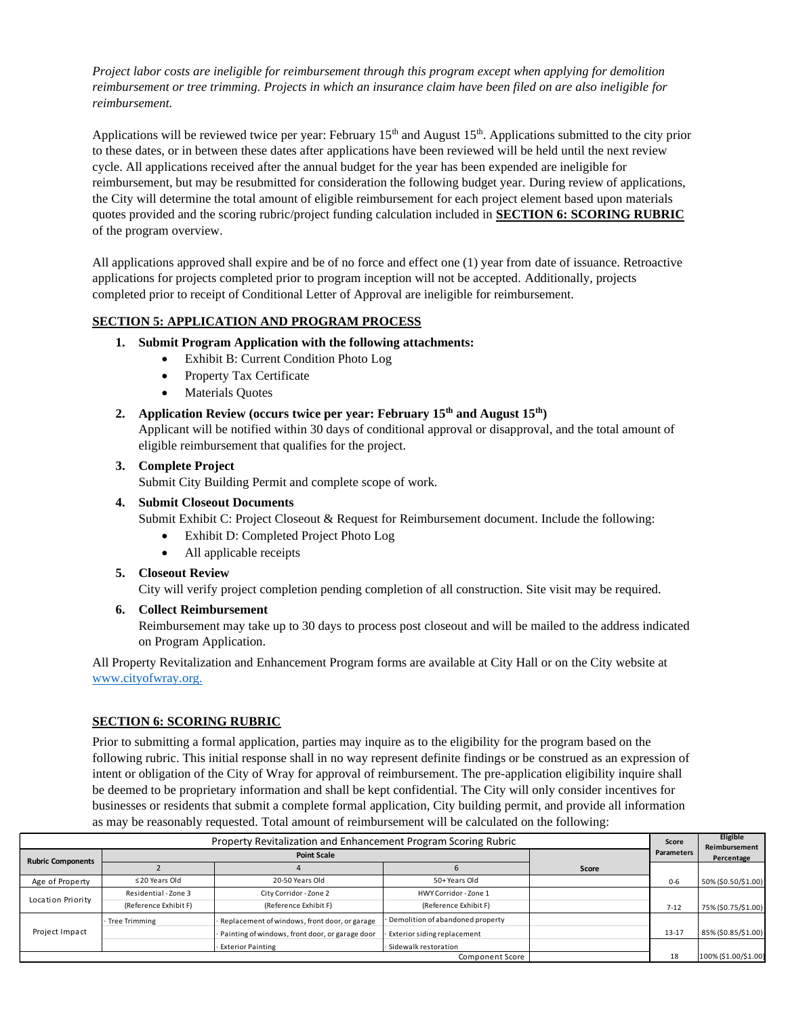*Project labor costs are ineligible for reimbursement through this program except when applying for demolition reimbursement or tree trimming. Projects in which an insurance claim have been filed on are also ineligible for reimbursement.* 

Applications will be reviewed twice per year: February  $15<sup>th</sup>$  and August  $15<sup>th</sup>$ . Applications submitted to the city prior to these dates, or in between these dates after applications have been reviewed will be held until the next review cycle. All applications received after the annual budget for the year has been expended are ineligible for reimbursement, but may be resubmitted for consideration the following budget year. During review of applications, the City will determine the total amount of eligible reimbursement for each project element based upon materials quotes provided and the scoring rubric/project funding calculation included in **SECTION 6: SCORING RUBRIC** of the program overview.

All applications approved shall expire and be of no force and effect one (1) year from date of issuance. Retroactive applications for projects completed prior to program inception will not be accepted. Additionally, projects completed prior to receipt of Conditional Letter of Approval are ineligible for reimbursement.

### **SECTION 5: APPLICATION AND PROGRAM PROCESS**

- **1. Submit Program Application with the following attachments:**
	- Exhibit B: Current Condition Photo Log
	- Property Tax Certificate
	- Materials Quotes
- **2. Application Review (occurs twice per year: February 15th and August 15th)**

Applicant will be notified within 30 days of conditional approval or disapproval, and the total amount of eligible reimbursement that qualifies for the project.

#### **3. Complete Project**

Submit City Building Permit and complete scope of work.

#### **4. Submit Closeout Documents**

Submit Exhibit C: Project Closeout & Request for Reimbursement document. Include the following:

- Exhibit D: Completed Project Photo Log
- All applicable receipts

#### **5. Closeout Review**

City will verify project completion pending completion of all construction. Site visit may be required.

#### **6. Collect Reimbursement**

Reimbursement may take up to 30 days to process post closeout and will be mailed to the address indicated on Program Application.

All Property Revitalization and Enhancement Program forms are available at City Hall or on the City website at [www.cityofwray.org.](http://www.cityofwray.org./)

#### **SECTION 6: SCORING RUBRIC**

Prior to submitting a formal application, parties may inquire as to the eligibility for the program based on the following rubric. This initial response shall in no way represent definite findings or be construed as an expression of intent or obligation of the City of Wray for approval of reimbursement. The pre-application eligibility inquire shall be deemed to be proprietary information and shall be kept confidential. The City will only consider incentives for businesses or residents that submit a complete formal application, City building permit, and provide all information as may be reasonably requested. Total amount of reimbursement will be calculated on the following:

| Property Revitalization and Enhancement Program Scoring Rubric |                       |                                                 | Score                            | Eligible<br>Reimbursement |                   |                      |
|----------------------------------------------------------------|-----------------------|-------------------------------------------------|----------------------------------|---------------------------|-------------------|----------------------|
| <b>Rubric Components</b>                                       |                       | <b>Point Scale</b>                              |                                  |                           | <b>Parameters</b> | Percentage           |
|                                                                |                       |                                                 |                                  | Score                     |                   |                      |
| Age of Property                                                | $\leq$ 20 Years Old   | 20-50 Years Old                                 | 50+Years Old                     |                           | $0 - 6$           | 50% (\$0.50/\$1.00)  |
|                                                                | Residential - Zone 3  | City Corridor - Zone 2                          | HWY Corridor - Zone 1            |                           |                   |                      |
| Location Priority                                              | (Reference Exhibit F) | (Reference Exhibit F)                           | (Reference Exhibit F)            |                           | $7-12$            | 75% (\$0.75/\$1.00)  |
|                                                                | <b>Tree Trimming</b>  | Replacement of windows, front door, or garage   | Demolition of abandoned property |                           |                   |                      |
| Project Impact                                                 |                       | Painting of windows, front door, or garage door | Exterior siding replacement      |                           | $13 - 17$         | 85% (\$0.85/\$1.00)  |
|                                                                |                       | <b>Exterior Painting</b>                        | · Sidewalk restoration           |                           |                   |                      |
|                                                                |                       |                                                 | Component Score                  |                           | 18                | 100% (\$1.00/\$1.00) |
|                                                                |                       |                                                 |                                  |                           |                   |                      |
|                                                                |                       |                                                 |                                  |                           |                   |                      |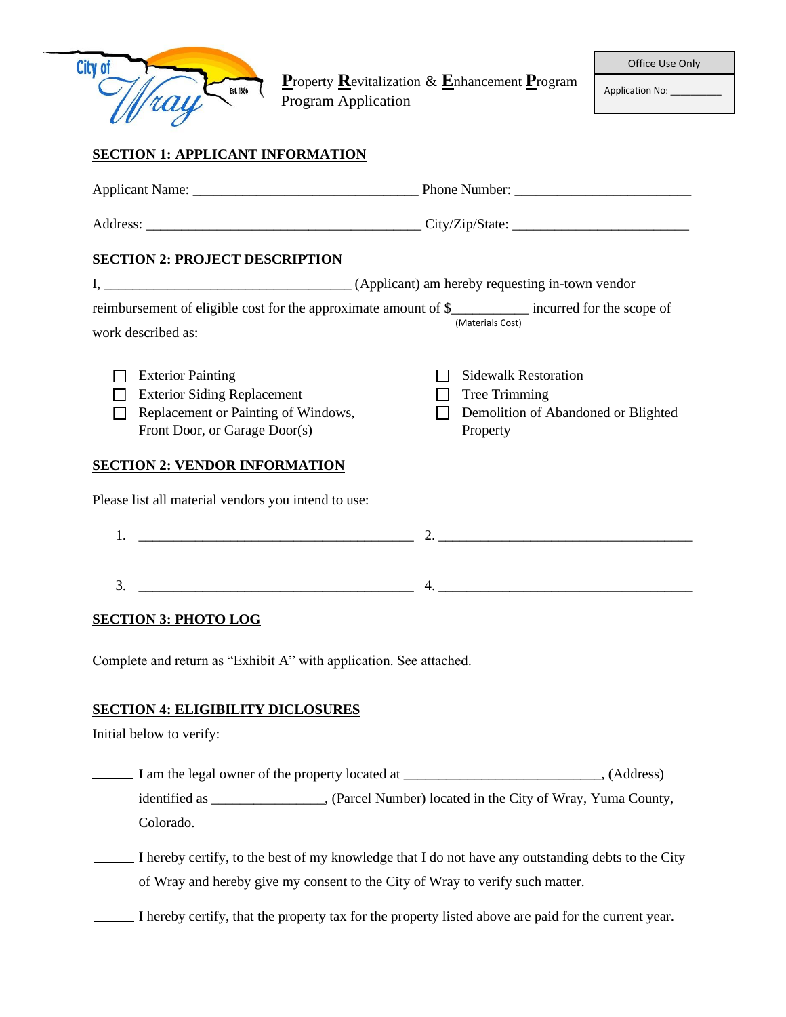

**P**roperty **R**evitalization & **E**nhancement **P**rogram Program Application

Application No:

### **SECTION 1: APPLICANT INFORMATION**

|    | <b>SECTION 2: PROJECT DESCRIPTION</b>                                                                                                  |          |                                                                                     |
|----|----------------------------------------------------------------------------------------------------------------------------------------|----------|-------------------------------------------------------------------------------------|
|    |                                                                                                                                        |          |                                                                                     |
|    | reimbursement of eligible cost for the approximate amount of \$________ incurred for the scope of<br>work described as:                |          | (Materials Cost)                                                                    |
|    | <b>Exterior Painting</b><br><b>Exterior Siding Replacement</b><br>Replacement or Painting of Windows,<br>Front Door, or Garage Door(s) | Property | <b>Sidewalk Restoration</b><br>Tree Trimming<br>Demolition of Abandoned or Blighted |
|    | <b>SECTION 2: VENDOR INFORMATION</b>                                                                                                   |          |                                                                                     |
|    | Please list all material vendors you intend to use:                                                                                    |          |                                                                                     |
| 1. |                                                                                                                                        |          |                                                                                     |
| 3. | <u> 1989 - Johann Barn, mars ann an t-Amhain Aonaich an t-Aonaich an t-Aonaich an t-Aonaich an t-Aonaich an t-Aon</u>                  |          |                                                                                     |

#### **SECTION 3: PHOTO LOG**

Complete and return as "Exhibit A" with application. See attached.

# **SECTION 4: ELIGIBILITY DICLOSURES**

Initial below to verify:

I am the legal owner of the property located at \_\_\_\_\_\_\_\_\_\_\_\_\_\_\_\_\_\_\_\_\_\_\_\_\_\_\_\_\_\_\_, (Address) identified as \_\_\_\_\_\_\_\_\_\_\_\_\_\_\_\_, (Parcel Number) located in the City of Wray, Yuma County, Colorado.

I hereby certify, to the best of my knowledge that I do not have any outstanding debts to the City of Wray and hereby give my consent to the City of Wray to verify such matter.

I hereby certify, that the property tax for the property listed above are paid for the current year.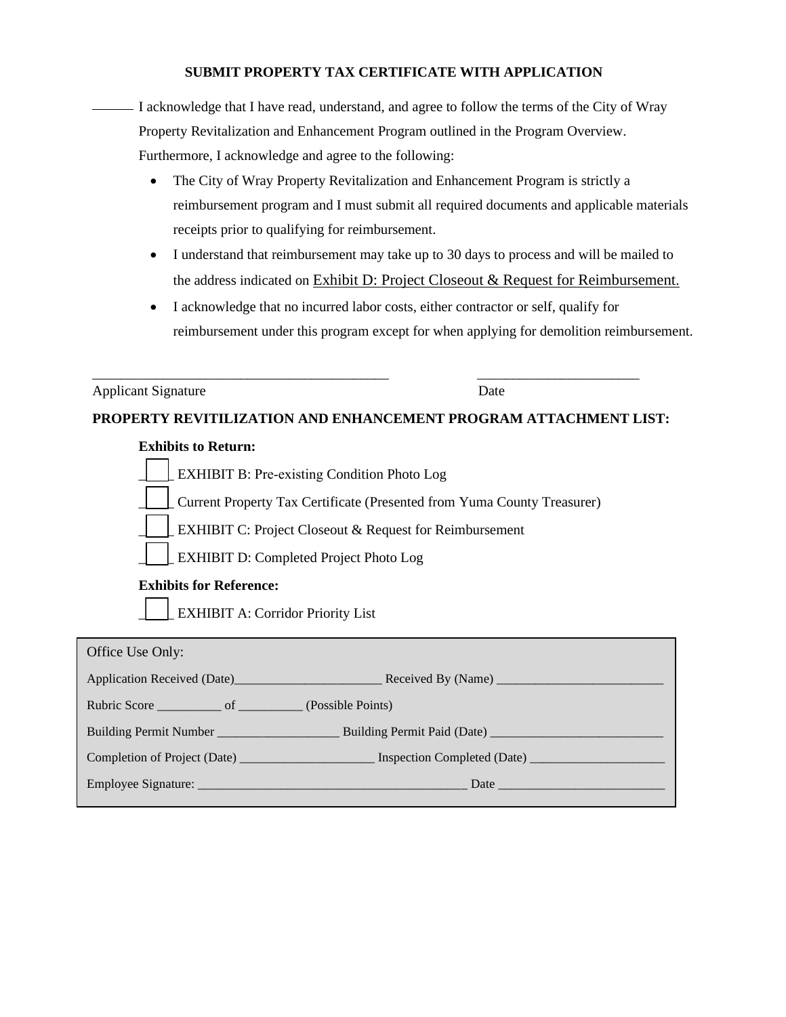### **SUBMIT PROPERTY TAX CERTIFICATE WITH APPLICATION**

I acknowledge that I have read, understand, and agree to follow the terms of the City of Wray Property Revitalization and Enhancement Program outlined in the Program Overview. Furthermore, I acknowledge and agree to the following:

- The City of Wray Property Revitalization and Enhancement Program is strictly a reimbursement program and I must submit all required documents and applicable materials receipts prior to qualifying for reimbursement.
- I understand that reimbursement may take up to 30 days to process and will be mailed to the address indicated on Exhibit D: Project Closeout & Request for Reimbursement.
- I acknowledge that no incurred labor costs, either contractor or self, qualify for reimbursement under this program except for when applying for demolition reimbursement.

Applicant Signature Date

## **PROPERTY REVITILIZATION AND ENHANCEMENT PROGRAM ATTACHMENT LIST:**

\_\_\_\_\_\_\_\_\_\_\_\_\_\_\_\_\_\_\_\_\_\_\_\_\_\_\_\_\_\_\_\_\_\_\_\_\_\_\_\_\_\_ \_\_\_\_\_\_\_\_\_\_\_\_\_\_\_\_\_\_\_\_\_\_\_

## **Exhibits to Return:**

EXHIBIT B: Pre-existing Condition Photo Log \_\_\_\_\_ Current Property Tax Certificate (Presented from Yuma County Treasurer) EXHIBIT C: Project Closeout & Request for Reimbursement \_\_\_\_\_ EXHIBIT D: Completed Project Photo Log **Exhibits for Reference:**  \_\_\_\_\_ EXHIBIT A: Corridor Priority List

| Rubric Score of (Possible Points)                                                                                                                                                                                             |
|-------------------------------------------------------------------------------------------------------------------------------------------------------------------------------------------------------------------------------|
|                                                                                                                                                                                                                               |
|                                                                                                                                                                                                                               |
| Date has been a series of the series of the series of the series of the series of the series of the series of the series of the series of the series of the series of the series of the series of the series of the series of |
|                                                                                                                                                                                                                               |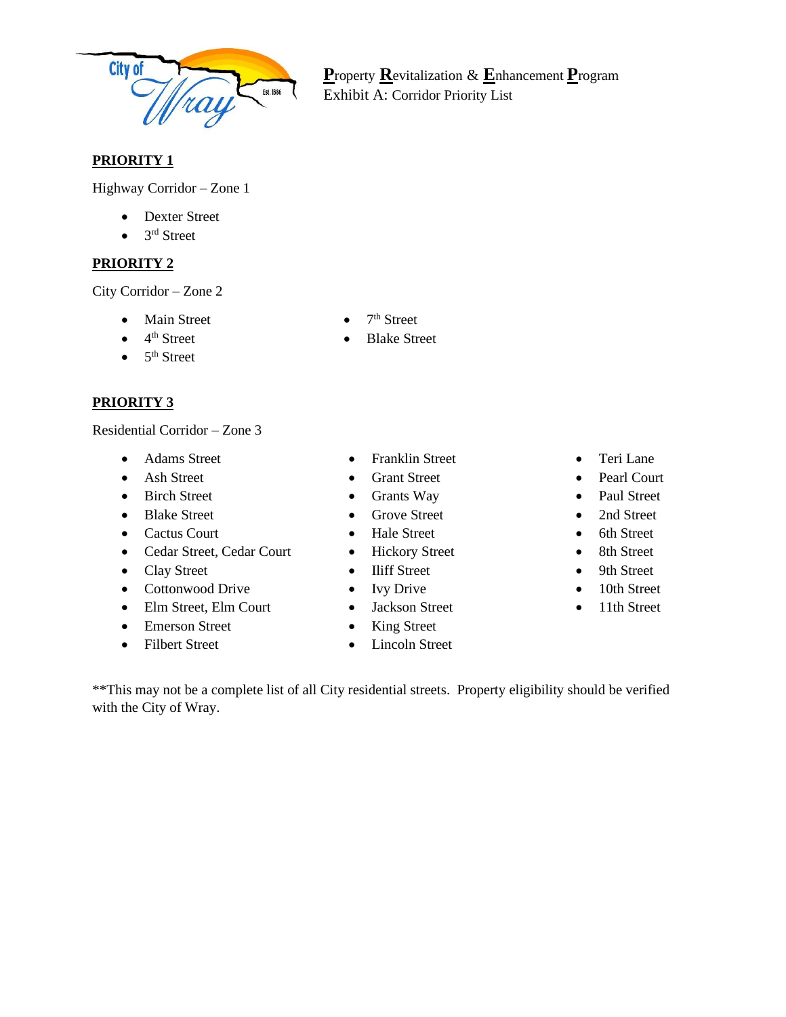

**P**roperty **R**evitalization & **E**nhancement **P**rogram Exhibit A: Corridor Priority List

# **PRIORITY 1**

Highway Corridor – Zone 1

- Dexter Street
- $\bullet$  3<sup>rd</sup> Street

# **PRIORITY 2**

City Corridor – Zone 2

- Main Street
- $\bullet$  4<sup>th</sup> Street
- $\bullet$  5<sup>th</sup> Street

# **PRIORITY 3**

Residential Corridor – Zone 3

- Adams Street
- Ash Street
- Birch Street
- Blake Street
- Cactus Court
- Cedar Street, Cedar Court
- Clay Street
- Cottonwood Drive
- Elm Street, Elm Court
- Emerson Street
- Filbert Street
- 
- Franklin Street
- Grant Street
- Grants Way
- Grove Street
- Hale Street
- Hickory Street
- Iliff Street
- Ivy Drive
- Jackson Street
- King Street
- Lincoln Street
- Teri Lane
- Pearl Court
- Paul Street
- 2nd Street
- 6th Street
- 8th Street
- 9th Street
- 10th Street
- 11th Street

\*\*This may not be a complete list of all City residential streets. Property eligibility should be verified with the City of Wray.

- $\bullet$  7<sup>th</sup> Street
- **Blake Street**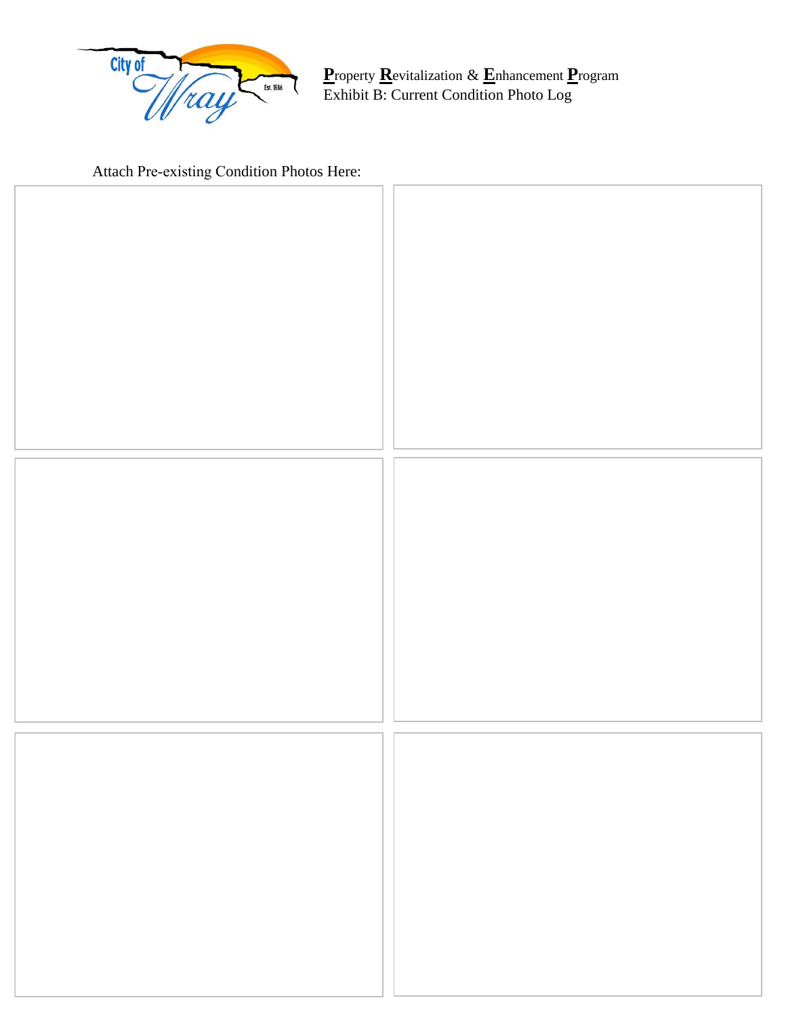

**Property Revitalization & Enhancement Program**<br>Exhibit B: Current Condition Photo Log

Attach Pre-existing Condition Photos Here: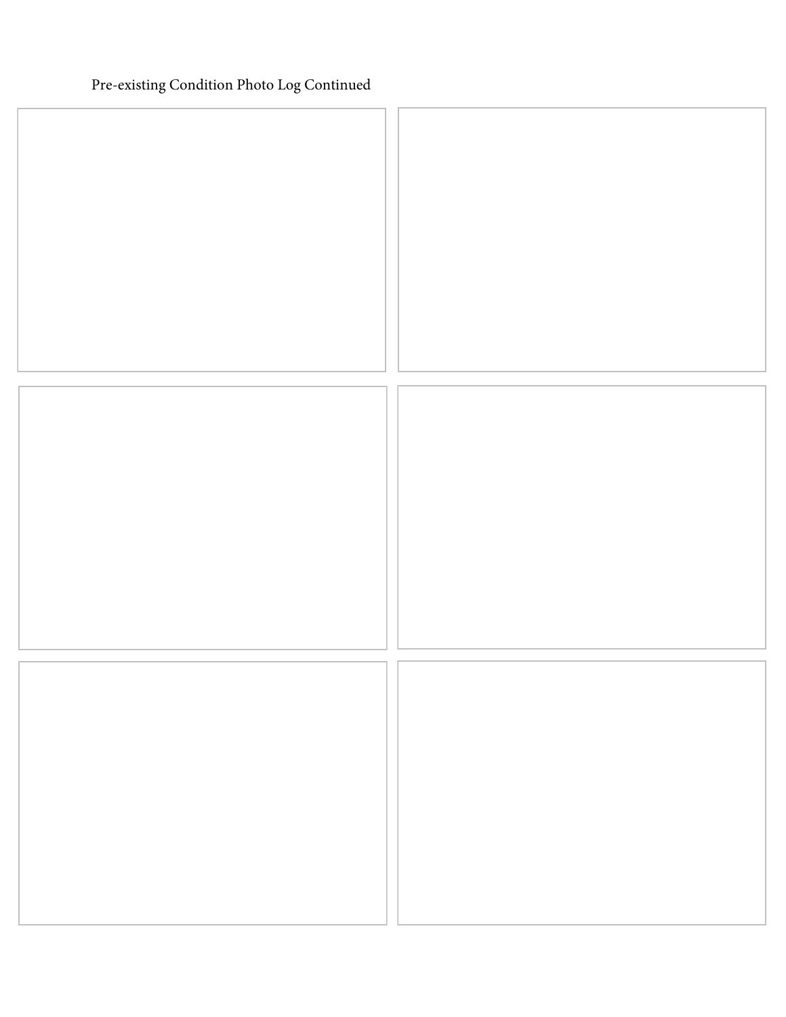# Pre-existing Condition Photo Log Continued

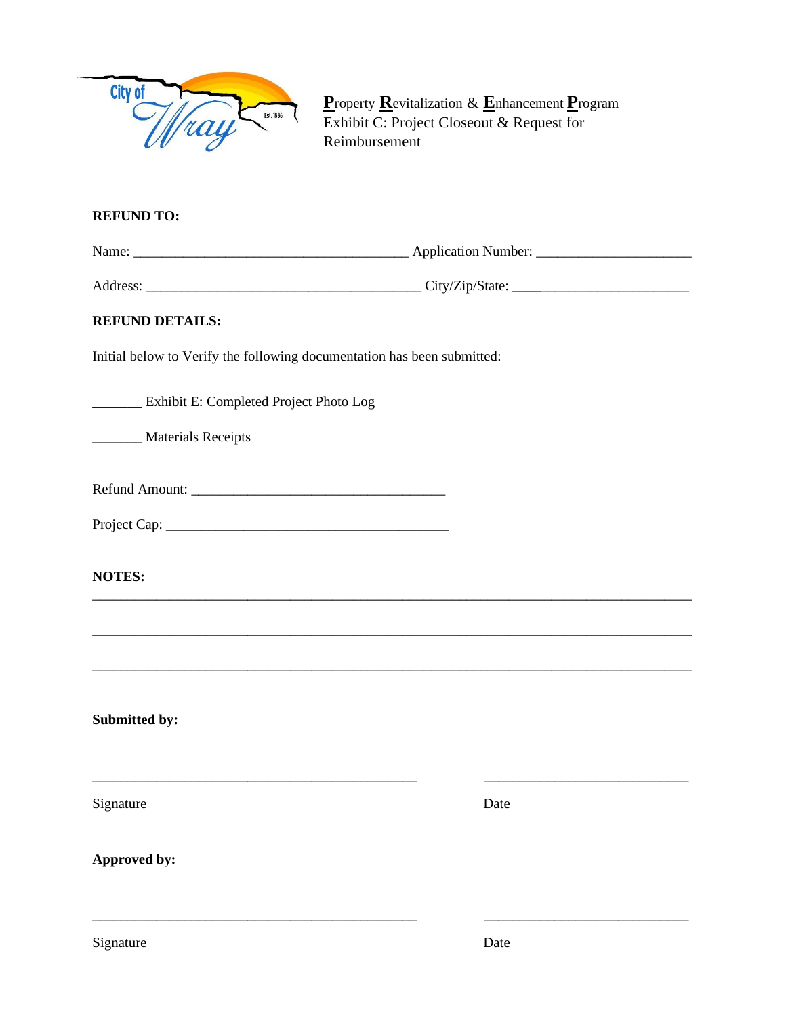

**P**roperty **R**evitalization & **E**nhancement **P**rogram Exhibit C: Project Closeout & Request for Reimbursement

## **REFUND TO:**

Name: \_\_\_\_\_\_\_\_\_\_\_\_\_\_\_\_\_\_\_\_\_\_\_\_\_\_\_\_\_\_\_\_\_\_\_\_\_\_\_ Application Number: \_\_\_\_\_\_\_\_\_\_\_\_\_\_\_\_\_\_\_\_\_\_

Address: \_\_\_\_\_\_\_\_\_\_\_\_\_\_\_\_\_\_\_\_\_\_\_\_\_\_\_\_\_\_\_\_\_\_\_\_\_\_\_ City/Zip/State: **\_\_\_\_**\_\_\_\_\_\_\_\_\_\_\_\_\_\_\_\_\_\_\_\_\_

\_\_\_\_\_\_\_\_\_\_\_\_\_\_\_\_\_\_\_\_\_\_\_\_\_\_\_\_\_\_\_\_\_\_\_\_\_\_\_\_\_\_\_\_\_\_\_\_\_\_\_\_\_\_\_\_\_\_\_\_\_\_\_\_\_\_\_\_\_\_\_\_\_\_\_\_\_\_\_\_\_\_\_\_\_

\_\_\_\_\_\_\_\_\_\_\_\_\_\_\_\_\_\_\_\_\_\_\_\_\_\_\_\_\_\_\_\_\_\_\_\_\_\_\_\_\_\_\_\_\_\_\_\_\_\_\_\_\_\_\_\_\_\_\_\_\_\_\_\_\_\_\_\_\_\_\_\_\_\_\_\_\_\_\_\_\_\_\_\_\_

\_\_\_\_\_\_\_\_\_\_\_\_\_\_\_\_\_\_\_\_\_\_\_\_\_\_\_\_\_\_\_\_\_\_\_\_\_\_\_\_\_\_\_\_\_\_\_\_\_\_\_\_\_\_\_\_\_\_\_\_\_\_\_\_\_\_\_\_\_\_\_\_\_\_\_\_\_\_\_\_\_\_\_\_\_

\_\_\_\_\_\_\_\_\_\_\_\_\_\_\_\_\_\_\_\_\_\_\_\_\_\_\_\_\_\_\_\_\_\_\_\_\_\_\_\_\_\_\_\_\_\_ \_\_\_\_\_\_\_\_\_\_\_\_\_\_\_\_\_\_\_\_\_\_\_\_\_\_\_\_\_

\_\_\_\_\_\_\_\_\_\_\_\_\_\_\_\_\_\_\_\_\_\_\_\_\_\_\_\_\_\_\_\_\_\_\_\_\_\_\_\_\_\_\_\_\_\_ \_\_\_\_\_\_\_\_\_\_\_\_\_\_\_\_\_\_\_\_\_\_\_\_\_\_\_\_\_

## **REFUND DETAILS:**

Initial below to Verify the following documentation has been submitted:

**\_\_\_\_\_\_\_** Exhibit E: Completed Project Photo Log

**\_\_\_\_\_\_\_** Materials Receipts

| <b>Refund Amount:</b> |  |
|-----------------------|--|
|                       |  |

Project Cap:

**NOTES:**

**Submitted by:** 

Signature Date

**Approved by:**

Signature Date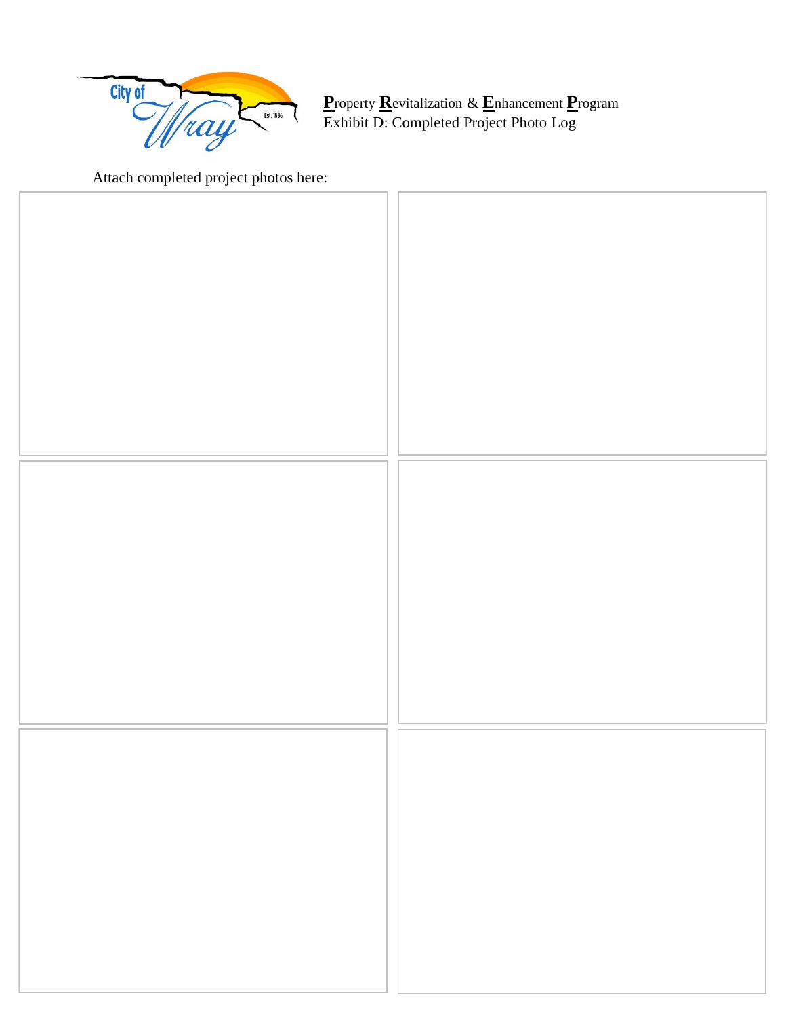

**P**roperty **R**evitalization & **E**nhancement **P**rogram Exhibit D: Completed Project Photo Log

Attach completed project photos here: